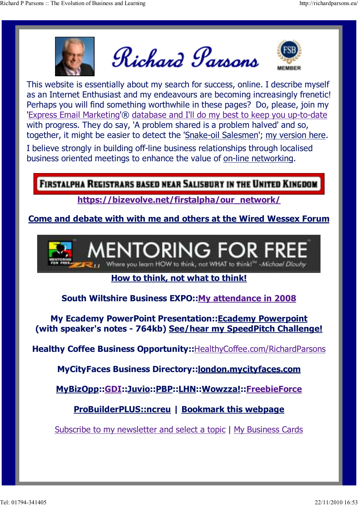

Richard Parsons



This website is essentially about my search for success, online. I describe myself as an Internet Enthusiast and my endeavours are becoming increasingly frenetic! Perhaps you will find something worthwhile in these pages? Do, please, join my 'Express Email Marketing'® database and I'll do my best to keep you up-to-date with progress. They do say, 'A problem shared is a problem halved' and so, together, it might be easier to detect the 'Snake-oil Salesmen'; my version here.

I believe strongly in building off-line business relationships through localised business oriented meetings to enhance the value of on-line networking.

**FIRSTALPHA REGISTRARS BASED NEAR SALISBURY IN THE UNITED KINGDOM** 

https://bizevolve.net/firstalpha/our\_network/

Come and debate with with me and others at the Wired Wessex Forum



## How to think, not what to think!

South Wiltshire Business EXPO::My attendance in 2008

My Ecademy PowerPoint Presentation::Ecademy Powerpoint (with speaker's notes - 764kb) See/hear my SpeedPitch Challenge!

Healthy Coffee Business Opportunity:: HealthyCoffee.com/RichardParsons

MyCityFaces Business Directory::london.mycityfaces.com

MyBizOpp::GDI::Juvio::PBP::LHN::Wowzza!::FreebieForce

ProBuilderPLUS::ncreu | Bookmark this webpage

Subscribe to my newsletter and select a topic | My Business Cards